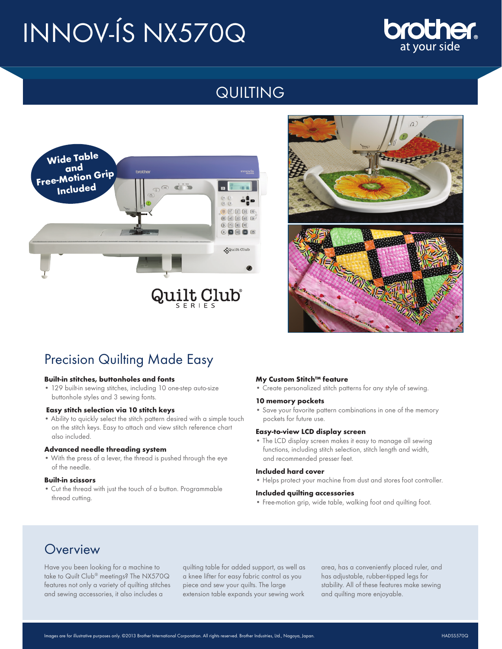# INNOV-ÍS NX570Q

# **Cher.** at vour side

# QUILTING





# Precision Quilting Made Easy

#### **Built-in stitches, buttonholes and fonts**

• 129 built-in sewing stitches, including 10 one-step auto-size buttonhole styles and 3 sewing fonts.

#### **Easy stitch selection via 10 stitch keys**

• Ability to quickly select the stitch pattern desired with a simple touch on the stitch keys. Easy to attach and view stitch reference chart also included.

#### **Advanced needle threading system**

• With the press of a lever, the thread is pushed through the eye of the needle.

#### **Built-in scissors**

• Cut the thread with just the touch of a button. Programmable thread cutting.

#### **My Custom Stitch™ feature**

• Create personalized stitch patterns for any style of sewing.

#### **10 memory pockets**

• Save your favorite pattern combinations in one of the memory pockets for future use.

#### **Easy-to-view LCD display screen**

• The LCD display screen makes it easy to manage all sewing functions, including stitch selection, stitch length and width, and recommended presser feet.

#### **Included hard cover**

• Helps protect your machine from dust and stores foot controller.

#### **Included quilting accessories**

• Free-motion grip, wide table, walking foot and quilting foot.

# **Overview**

Have you been looking for a machine to take to Quilt Club® meetings? The NX570Q features not only a variety of quilting stitches and sewing accessories, it also includes a

quilting table for added support, as well as a knee lifter for easy fabric control as you piece and sew your quilts. The large extension table expands your sewing work

area, has a conveniently placed ruler, and has adjustable, rubber-tipped legs for stability. All of these features make sewing and quilting more enjoyable.